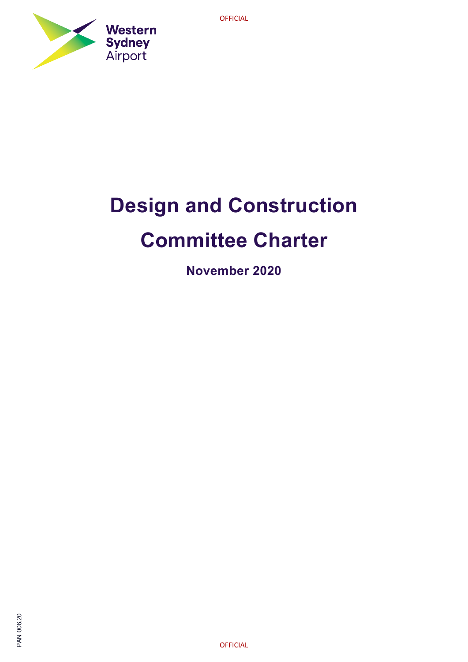

# **Design and Construction Committee Charter**

**November 2020**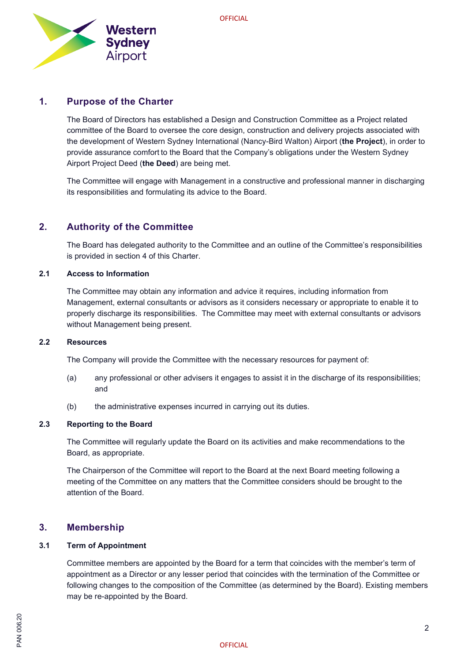

## **1. Purpose of the Charter**

The Board of Directors has established a Design and Construction Committee as a Project related committee of the Board to oversee the core design, construction and delivery projects associated with the development of Western Sydney International (Nancy-Bird Walton) Airport (**the Project**), in order to provide assurance comfort to the Board that the Company's obligations under the Western Sydney Airport Project Deed (**the Deed**) are being met.

The Committee will engage with Management in a constructive and professional manner in discharging its responsibilities and formulating its advice to the Board.

# **2. Authority of the Committee**

The Board has delegated authority to the Committee and an outline of the Committee's responsibilities is provided in section 4 of this Charter.

## **2.1 Access to Information**

The Committee may obtain any information and advice it requires, including information from Management, external consultants or advisors as it considers necessary or appropriate to enable it to properly discharge its responsibilities. The Committee may meet with external consultants or advisors without Management being present.

## **2.2 Resources**

The Company will provide the Committee with the necessary resources for payment of:

- (a) any professional or other advisers it engages to assist it in the discharge of its responsibilities; and
- (b) the administrative expenses incurred in carrying out its duties.

## **2.3 Reporting to the Board**

The Committee will regularly update the Board on its activities and make recommendations to the Board, as appropriate.

The Chairperson of the Committee will report to the Board at the next Board meeting following a meeting of the Committee on any matters that the Committee considers should be brought to the attention of the Board.

## **3. Membership**

## **3.1 Term of Appointment**

Committee members are appointed by the Board for a term that coincides with the member's term of appointment as a Director or any lesser period that coincides with the termination of the Committee or following changes to the composition of the Committee (as determined by the Board). Existing members may be re-appointed by the Board.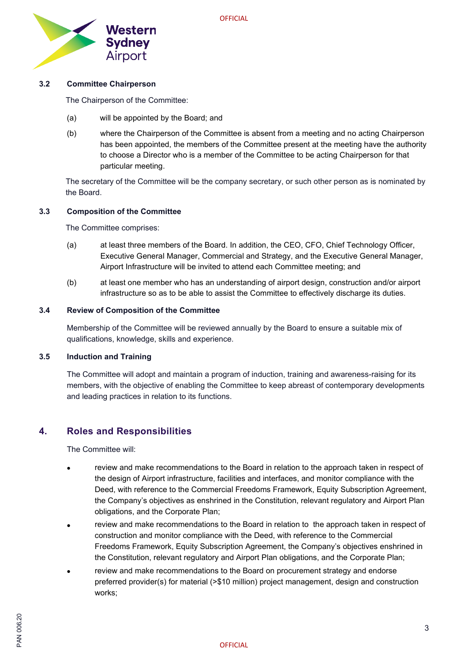

## **3.2 Committee Chairperson**

The Chairperson of the Committee:

- (a) will be appointed by the Board; and
- (b) where the Chairperson of the Committee is absent from a meeting and no acting Chairperson has been appointed, the members of the Committee present at the meeting have the authority to choose a Director who is a member of the Committee to be acting Chairperson for that particular meeting.

The secretary of the Committee will be the company secretary, or such other person as is nominated by the Board.

## **3.3 Composition of the Committee**

The Committee comprises:

- (a) at least three members of the Board. In addition, the CEO, CFO, Chief Technology Officer, Executive General Manager, Commercial and Strategy, and the Executive General Manager, Airport Infrastructure will be invited to attend each Committee meeting; and
- (b) at least one member who has an understanding of airport design, construction and/or airport infrastructure so as to be able to assist the Committee to effectively discharge its duties.

## **3.4 Review of Composition of the Committee**

Membership of the Committee will be reviewed annually by the Board to ensure a suitable mix of qualifications, knowledge, skills and experience.

## **3.5 Induction and Training**

The Committee will adopt and maintain a program of induction, training and awareness-raising for its members, with the objective of enabling the Committee to keep abreast of contemporary developments and leading practices in relation to its functions.

# **4. Roles and Responsibilities**

The Committee will:

- review and make recommendations to the Board in relation to the approach taken in respect of the design of Airport infrastructure, facilities and interfaces, and monitor compliance with the Deed, with reference to the Commercial Freedoms Framework, Equity Subscription Agreement, the Company's objectives as enshrined in the Constitution, relevant regulatory and Airport Plan obligations, and the Corporate Plan;
- review and make recommendations to the Board in relation to the approach taken in respect of construction and monitor compliance with the Deed, with reference to the Commercial Freedoms Framework, Equity Subscription Agreement, the Company's objectives enshrined in the Constitution, relevant regulatory and Airport Plan obligations, and the Corporate Plan;
- review and make recommendations to the Board on procurement strategy and endorse preferred provider(s) for material (>\$10 million) project management, design and construction works;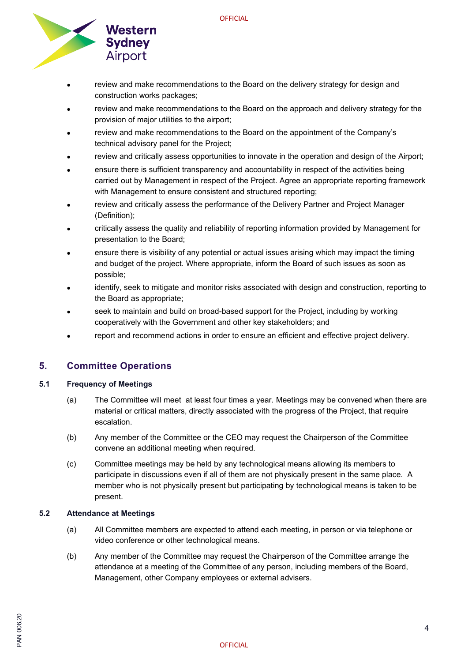

- review and make recommendations to the Board on the delivery strategy for design and construction works packages;
- review and make recommendations to the Board on the approach and delivery strategy for the provision of major utilities to the airport;
- review and make recommendations to the Board on the appointment of the Company's technical advisory panel for the Project;
- review and critically assess opportunities to innovate in the operation and design of the Airport;
- ensure there is sufficient transparency and accountability in respect of the activities being carried out by Management in respect of the Project. Agree an appropriate reporting framework with Management to ensure consistent and structured reporting;
- review and critically assess the performance of the Delivery Partner and Project Manager (Definition);
- critically assess the quality and reliability of reporting information provided by Management for presentation to the Board;
- ensure there is visibility of any potential or actual issues arising which may impact the timing and budget of the project. Where appropriate, inform the Board of such issues as soon as possible;
- identify, seek to mitigate and monitor risks associated with design and construction, reporting to the Board as appropriate;
- seek to maintain and build on broad-based support for the Project, including by working cooperatively with the Government and other key stakeholders; and
- report and recommend actions in order to ensure an efficient and effective project delivery.

# **5. Committee Operations**

## **5.1 Frequency of Meetings**

- (a) The Committee will meet at least four times a year. Meetings may be convened when there are material or critical matters, directly associated with the progress of the Project, that require escalation.
- (b) Any member of the Committee or the CEO may request the Chairperson of the Committee convene an additional meeting when required.
- (c) Committee meetings may be held by any technological means allowing its members to participate in discussions even if all of them are not physically present in the same place. A member who is not physically present but participating by technological means is taken to be present.

## **5.2 Attendance at Meetings**

- (a) All Committee members are expected to attend each meeting, in person or via telephone or video conference or other technological means.
- (b) Any member of the Committee may request the Chairperson of the Committee arrange the attendance at a meeting of the Committee of any person, including members of the Board, Management, other Company employees or external advisers.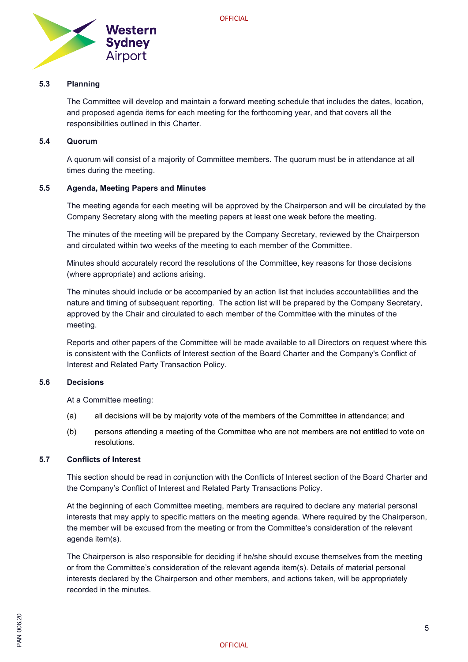

## **5.3 Planning**

The Committee will develop and maintain a forward meeting schedule that includes the dates, location, and proposed agenda items for each meeting for the forthcoming year, and that covers all the responsibilities outlined in this Charter.

## **5.4 Quorum**

A quorum will consist of a majority of Committee members. The quorum must be in attendance at all times during the meeting.

## **5.5 Agenda, Meeting Papers and Minutes**

The meeting agenda for each meeting will be approved by the Chairperson and will be circulated by the Company Secretary along with the meeting papers at least one week before the meeting.

The minutes of the meeting will be prepared by the Company Secretary, reviewed by the Chairperson and circulated within two weeks of the meeting to each member of the Committee.

Minutes should accurately record the resolutions of the Committee, key reasons for those decisions (where appropriate) and actions arising.

The minutes should include or be accompanied by an action list that includes accountabilities and the nature and timing of subsequent reporting. The action list will be prepared by the Company Secretary, approved by the Chair and circulated to each member of the Committee with the minutes of the meeting.

Reports and other papers of the Committee will be made available to all Directors on request where this is consistent with the Conflicts of Interest section of the Board Charter and the Company's Conflict of Interest and Related Party Transaction Policy.

## **5.6 Decisions**

At a Committee meeting:

- (a) all decisions will be by majority vote of the members of the Committee in attendance; and
- (b) persons attending a meeting of the Committee who are not members are not entitled to vote on resolutions.

## **5.7 Conflicts of Interest**

This section should be read in conjunction with the Conflicts of Interest section of the Board Charter and the Company's Conflict of Interest and Related Party Transactions Policy.

At the beginning of each Committee meeting, members are required to declare any material personal interests that may apply to specific matters on the meeting agenda. Where required by the Chairperson, the member will be excused from the meeting or from the Committee's consideration of the relevant agenda item(s).

The Chairperson is also responsible for deciding if he/she should excuse themselves from the meeting or from the Committee's consideration of the relevant agenda item(s). Details of material personal interests declared by the Chairperson and other members, and actions taken, will be appropriately recorded in the minutes.